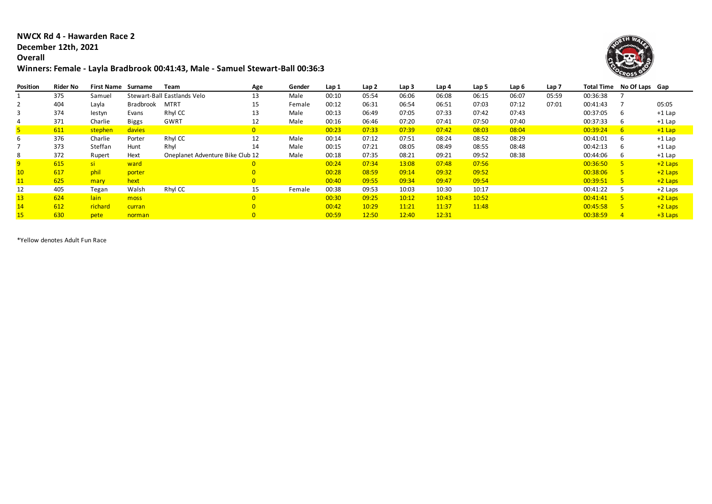## **NWCX Rd 4 - Hawarden Race 2 December 12th, 2021**

## **Overall**

## **Winners: Female - Layla Bradbrook 00:41:43, Male - Samuel Stewart-Ball 00:36:38**



| Position | <b>Rider No</b> | <b>First Name</b> | Surname   | Team                             | Age            | Gender | Lap 1 | Lap 2 | Lap 3 | Lap 4 | Lap 5 | Lap 6 | Lap <sub>7</sub> |          | Total Time No Of Laps Gap |           |
|----------|-----------------|-------------------|-----------|----------------------------------|----------------|--------|-------|-------|-------|-------|-------|-------|------------------|----------|---------------------------|-----------|
|          | 375             | Samuel            |           | Stewart-Ball Eastlands Velo      | 13             | Male   | 00:10 | 05:54 | 06:06 | 06:08 | 06:15 | 06:07 | 05:59            | 00:36:38 |                           |           |
|          | 404             | Layla             | Bradbrook | <b>MTRT</b>                      | 15             | Female | 00:12 | 06:31 | 06:54 | 06:51 | 07:03 | 07:12 | 07:01            | 00:41:43 |                           | 05:05     |
|          | 374             | lestyn            | Evans     | Rhyl CC                          | 13             | Male   | 00:13 | 06:49 | 07:05 | 07:33 | 07:42 | 07:43 |                  | 00:37:05 | b                         | $+1$ Lap  |
|          | 371             | Charlie           | Biggs     | GWRT                             | 12             | Male   | 00:16 | 06:46 | 07:20 | 07:41 | 07:50 | 07:40 |                  | 00:37:33 | ь                         | $+1$ Lap  |
|          | 611             | stephen           | davies    |                                  | $\overline{0}$ |        | 00:23 | 07:33 | 07:39 | 07:42 | 08:03 | 08:04 |                  | 00:39:24 | 6                         | $+1$ Lap  |
|          | 376             | Charlie           | Porter    | Rhyl CC                          | 12             | Male   | 00:14 | 07:12 | 07:51 | 08:24 | 08:52 | 08:29 |                  | 00:41:01 | ь                         | $+1$ Lap  |
|          | 373             | Steffan           | Hunt      | Rhyl                             | 14             | Male   | 00:15 | 07:21 | 08:05 | 08:49 | 08:55 | 08:48 |                  | 00:42:13 | b                         | $+1$ Lap  |
|          | 372             | Rupert            | Hext      | Oneplanet Adventure Bike Club 12 |                | Male   | 00:18 | 07:35 | 08:21 | 09:21 | 09:52 | 08:38 |                  | 00:44:06 |                           | $+1$ Lap  |
|          | 615             | -si-              | ward      |                                  | $\overline{0}$ |        | 00:24 | 07:34 | 13:08 | 07:48 | 07:56 |       |                  | 00:36:50 |                           | $+2$ Laps |
|          | 617             | phil              | porter    |                                  |                |        | 00:28 | 08:59 | 09:14 | 09:32 | 09:52 |       |                  | 00:38:06 |                           | $+2$ Laps |
|          | 625             | mary              | hext      |                                  | $\overline{0}$ |        | 00:40 | 09:55 | 09:34 | 09:47 | 09:54 |       |                  | 00:39:51 |                           | $+2$ Laps |
| 12       | 405             | Tegan             | Walsh     | Rhyl CC                          | 15             | Female | 00:38 | 09:53 | 10:03 | 10:30 | 10:17 |       |                  | 00:41:22 |                           | $+2$ Laps |
| 13       | 624             | lain              | moss      |                                  | $\overline{0}$ |        | 00:30 | 09:25 | 10:12 | 10:43 | 10:52 |       |                  | 00:41:41 |                           | $+2$ Laps |
| 14       | 612             | richard           | curran    |                                  |                |        | 00:42 | 10:29 | 11:21 | 11:37 | 11:48 |       |                  | 00:45:58 |                           | $+2$ Laps |
|          | 630             | pete              | norman    |                                  |                |        | 00:59 | 12:50 | 12:40 | 12:31 |       |       |                  | 00:38:59 | $\overline{4}$            | $+3$ Laps |

\*Yellow denotes Adult Fun Race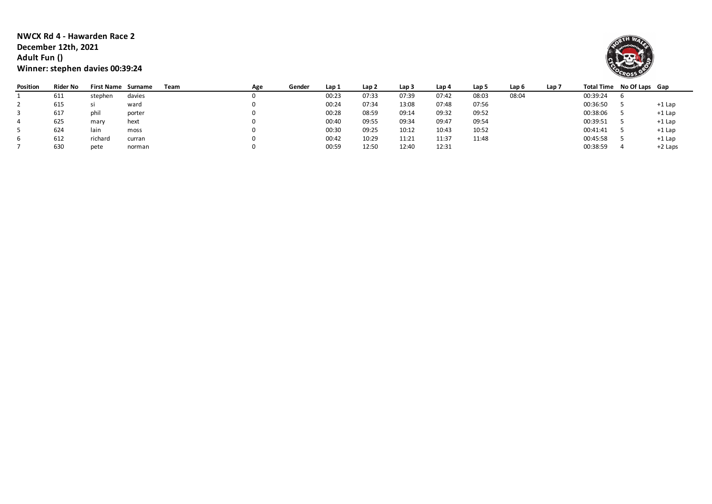**NWCX Rd 4 - Hawarden Race 2 December 12th, 2021 Adult Fun () Winner: stephen davies 00:39:24**



| Position | Rider No | <b>First Name Surname</b> |        | Team | Age | Gender | Lap 1 | Lap 2 | Lap 3 | Lap 4 | Lap 5 | Lap 6 | Lap 7 | Total Time No Of Laps Gap |          |
|----------|----------|---------------------------|--------|------|-----|--------|-------|-------|-------|-------|-------|-------|-------|---------------------------|----------|
|          | 611      | stephen                   | davies |      |     |        | 00:23 | 07:33 | 07:39 | 07:42 | 08:03 | 08:04 |       | 00:39:24                  |          |
|          | 615      |                           | ward   |      |     |        | 00:24 | 07:34 | 13:08 | 07:48 | 07:56 |       |       | 00:36:50                  | +1 Lap   |
|          | 617      | phil                      | porter |      |     |        | 00:28 | 08:59 | 09:14 | 09:32 | 09:52 |       |       | 00:38:06                  | $+1$ Lap |
|          | 625      | mary                      | hext   |      |     |        | 00:40 | 09:55 | 09:34 | 09:47 | 09:54 |       |       | 00:39:51                  | $+1$ Lap |
|          | 624      | lain                      | moss   |      |     |        | 00:30 | 09:25 | 10:12 | 10:43 | 10:52 |       |       | 00:41:41                  | $+1$ Lap |
| b        | 612      | richard                   | curran |      |     |        | 00:42 | 10:29 | 11:21 | 11:37 | 11:48 |       |       | 00:45:58                  | +1 Lap   |
|          | 630      | pete                      | norman |      |     |        | 00:59 | 12:50 | 12:40 | 12:31 |       |       |       | 00:38:59                  | +2 Laps  |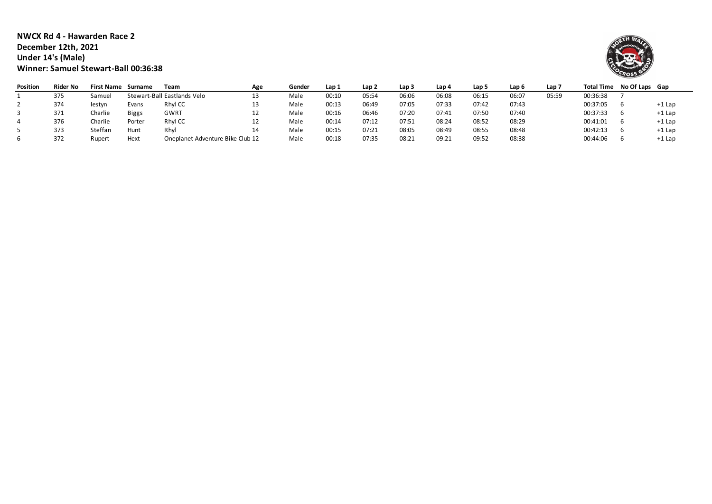**NWCX Rd 4 - Hawarden Race 2 December 12th, 2021 Under 14's (Male) Winner: Samuel Stewart-Ball 00:36:38**



| Position | Rider No | <b>First Name</b> | Surname | Team                             | Age | Gender | Lap 1 | Lap 2 | Lap 3 | Lap 4 | Lap 5 | Lap 6 | Lap 7 | Total Time | No Of Laps Gap |          |
|----------|----------|-------------------|---------|----------------------------------|-----|--------|-------|-------|-------|-------|-------|-------|-------|------------|----------------|----------|
|          | 375      | Samuel            |         | Stewart-Ball Eastlands Velo      |     | Male   | 00:10 | 05:54 | 06:06 | 06:08 | 06:15 | 06:07 | 05:59 | 00:36:38   |                |          |
|          | 374      | lestyn            | Evans   | Rhyl CC                          |     | Male   | 00:13 | 06:49 | 07:05 | 07:33 | 07:42 | 07:43 |       | 00:37:05   |                | +1 Lap   |
|          | 371      | Charlie           | Biggs   | GWRT                             | ᅩ   | Male   | 00:16 | 06:46 | 07:20 | 07:41 | 07:50 | 07:40 |       | 00:37:33   |                | $+1$ Lap |
|          | 376      | Charlie           | Porter  | Rhyl CC                          | ᆠ   | Male   | 00:14 | 07:12 | 07:51 | 08:24 | 08:52 | 08:29 |       | 00:41:01   |                | $+1$ Lap |
|          | 373      | Steffan           | Hunt    | Rhyl                             | 14  | Male   | 00:15 | 07:21 | 08:05 | 08:49 | 08:55 | 08:48 |       | 00:42:13   |                | $+1$ Lap |
|          | 372      | Rupert            | Hext    | Oneplanet Adventure Bike Club 12 |     | Male   | 00:18 | 07:35 | 08:21 | 09:21 | 09:52 | 08:38 |       | 00:44:06   |                | +1 Lap   |